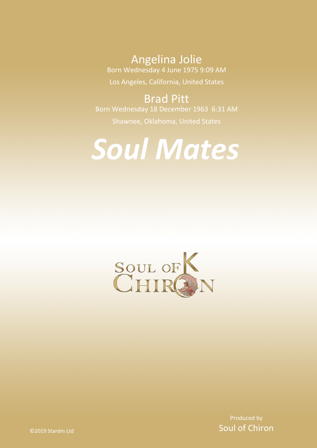Angelina Jolie Born Wednesday 4 June 1975 9:09 AM Los Angeles, California, United States

Born Wednesday 18 December 1963 6:31 AM Brad Pitt

*Soul Mates*



Produced by Soul of Chiron

©2019 Stardm Ltd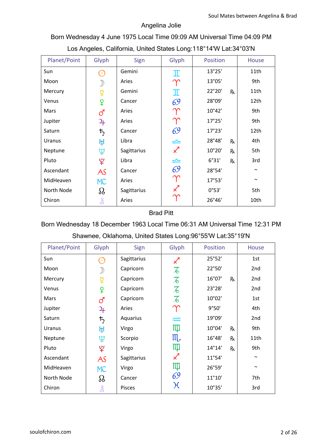### Angelina Jolie

Born Wednesday 4 June 1975 Local Time 09:09 AM Universal Time 04:09 PM Los Angeles, California, United States Long:118°14'W Lat:34°03'N

| <b>Planet/Point</b> | Glyph                  | Sign        | Glyph      | Position     | House                 |
|---------------------|------------------------|-------------|------------|--------------|-----------------------|
| Sun                 | $\odot$                | Gemini      | Ι          | 13°25'       | 11th                  |
| Moon                |                        | Aries       | $\Upsilon$ | 13°05'       | 9th                   |
| Mercury             | $\breve{\mathrm{P}}$   | Gemini      | Ι          | 22°20'<br>Rx | 11th                  |
| Venus               | ¥                      | Cancer      | 69         | 28°09'       | 12 <sub>th</sub>      |
| Mars                | ර                      | Aries       | $\Upsilon$ | 10°42'       | 9th                   |
| Jupiter             | $\mathfrak{P}_{\!+\!}$ | Aries       |            | 17°25'       | 9th                   |
| Saturn              | ち                      | Cancer      | 69         | 17°23'       | 12th                  |
| Uranus              | ਸ਼੍ਰ                   | Libra       | ≏          | 28°48'<br>Rx | 4th                   |
| Neptune             | Ψ                      | Sagittarius |            | 10°20'<br>Rx | 5th                   |
| Pluto               | ೪                      | Libra       | ⋍          | 6°31'<br>Rx  | 3rd                   |
| Ascendant           | AS                     | Cancer      | 69         | 28°54'       | $\tilde{\phantom{a}}$ |
| MidHeaven           | MC                     | Aries       |            | 17°53'       | $\sim$                |
| North Node          | $\Omega$               | Sagittarius |            | 0°53'        | 5th                   |
| Chiron              | 飞                      | Aries       |            | 26°46'       | 10th                  |

Brad Pitt

Born Wednesday 18 December 1963 Local Time 06:31 AM Universal Time 12:31 PM Shawnee, Oklahoma, United States Long:96°55'W Lat:35°19'N

| Planet/Point | Glyph                  | Sign        | Glyph                      | Position                 | House                 |
|--------------|------------------------|-------------|----------------------------|--------------------------|-----------------------|
| Sun          | $\odot$                | Sagittarius | $\boldsymbol{\mathcal{Z}}$ | 25°52'                   | 1st                   |
| Moon         |                        | Capricorn   | $\overline{\mathcal{L}}$   | 22°50'                   | 2nd                   |
| Mercury      | $\overline{Q}$         | Capricorn   | $\overline{\mathcal{L}}$   | 16°07'<br>R <sub>x</sub> | 2 <sub>nd</sub>       |
| Venus        | ¥                      | Capricorn   | $\overline{\mathcal{L}}$   | 23°28'                   | 2nd                   |
| Mars         | ර                      | Capricorn   | $\overline{\mathcal{L}}$   | 10°02'                   | 1st                   |
| Jupiter      | $\mathfrak{P}_{\!+\!}$ | Aries       | $\Upsilon$                 | 9°50'                    | 4th                   |
| Saturn       | ち                      | Aquarius    | $\approx$                  | 19°09'                   | 2 <sub>nd</sub>       |
| Uranus       | ਸ਼੍ਰ                   | Virgo       | ЩI                         | 10°04'<br>Rx             | 9th                   |
| Neptune      | Ψ                      | Scorpio     | $III_{d}$                  | 16°48'<br>Rx             | 11th                  |
| Pluto        | ೪                      | Virgo       | Щ                          | $14^{\circ}14'$<br>Rx    | 9th                   |
| Ascendant    | AS                     | Sagittarius |                            | 11°54'                   | $\tilde{\phantom{a}}$ |
| MidHeaven    | <b>MC</b>              | Virgo       | IIIJ                       | 26°59'                   | $\tilde{\phantom{a}}$ |
| North Node   | $\Omega$               | Cancer      | 69                         | $11^{\circ}10'$          | 7th                   |
| Chiron       | Ŗ                      | Pisces      | $\chi$                     | 10°35'                   | 3rd                   |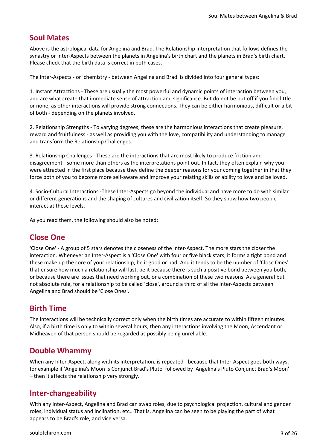# **Soul Mates**

Above is the astrological data for Angelina and Brad. The Relationship interpretation that follows defines the synastry or Inter-Aspects between the planets in Angelina's birth chart and the planets in Brad's birth chart. Please check that the birth data is correct in both cases.

The Inter-Aspects - or 'chemistry - between Angelina and Brad' is divided into four general types:

1. Instant Attractions - These are usually the most powerful and dynamic points of interaction between you, and are what create that immediate sense of attraction and significance. But do not be put off if you find little or none, as other interactions will provide strong connections. They can be either harmonious, difficult or a bit of both - depending on the planets involved.

2. Relationship Strengths - To varying degrees, these are the harmonious interactions that create pleasure, reward and fruitfulness - as well as providing you with the love, compatibility and understanding to manage and transform the Relationship Challenges.

3. Relationship Challenges - These are the interactions that are most likely to produce friction and disagreement - some more than others as the interpretations point out. In fact, they often explain why you were attracted in the first place because they define the deeper reasons for your coming together in that they force both of you to become more self-aware and improve your relating skills or ability to love and be loved.

4. Socio-Cultural Interactions -These Inter-Aspects go beyond the individual and have more to do with similar or different generations and the shaping of cultures and civilization itself. So they show how two people interact at these levels.

As you read them, the following should also be noted:

# **Close One**

'Close One' - A group of 5 stars denotes the closeness of the Inter-Aspect. The more stars the closer the interaction. Whenever an Inter-Aspect is a 'Close One' with four or five black stars, it forms a tight bond and these make up the core of your relationship, be it good or bad. And it tends to be the number of 'Close Ones' that ensure how much a relationship will last, be it because there is such a positive bond between you both, or because there are issues that need working out, or a combination of these two reasons. As a general but not absolute rule, for a relationship to be called 'close', around a third of all the Inter-Aspects between Angelina and Brad should be 'Close Ones'.

# **Birth Time**

The interactions will be technically correct only when the birth times are accurate to within fifteen minutes. Also, if a birth time is only to within several hours, then any interactions involving the Moon, Ascendant or Midheaven of that person should be regarded as possibly being unreliable.

# **Double Whammy**

When any Inter-Aspect, along with its interpretation, is repeated - because that Inter-Aspect goes both ways, for example if 'Angelina's Moon is Conjunct Brad's Pluto' followed by 'Angelina's Pluto Conjunct Brad's Moon' – then it affects the relationship very strongly.

# **Inter-changeability**

With any Inter-Aspect, Angelina and Brad can swap roles, due to psychological projection, cultural and gender roles, individual status and inclination, etc.. That is, Angelina can be seen to be playing the part of what appears to be Brad's role, and vice versa.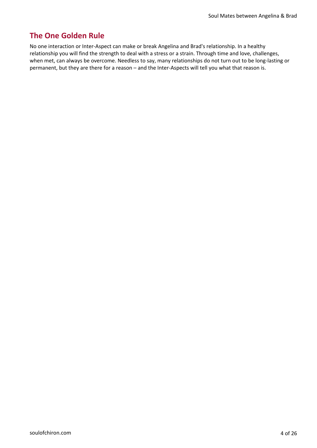# **The One Golden Rule**

No one interaction or Inter-Aspect can make or break Angelina and Brad's relationship. In a healthy relationship you will find the strength to deal with a stress or a strain. Through time and love, challenges, when met, can always be overcome. Needless to say, many relationships do not turn out to be long-lasting or permanent, but they are there for a reason – and the Inter-Aspects will tell you what that reason is.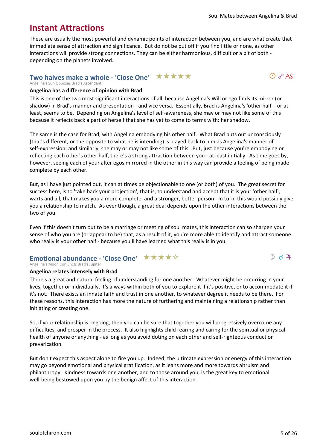$O$   $R$  AS

 $D_{d}$  d  $4$ 

# **Instant Attractions**

These are usually the most powerful and dynamic points of interaction between you, and are what create that immediate sense of attraction and significance. But do not be put off if you find little or none, as other interactions will provide strong connections. They can be either harmonious, difficult or a bit of both depending on the planets involved.

### **Two halves make a whole - 'Close One' ★★★★★**

Angelina's Sun Opposes Brad's Ascendant

#### **Angelina has a difference of opinion with Brad**

This is one of the two most significant interactions of all, because Angelina's Will or ego finds its mirror (or shadow) in Brad's manner and presentation - and vice versa. Essentially, Brad is Angelina's 'other half' - or at least, seems to be. Depending on Angelina's level of self-awareness, she may or may not like some of this because it reflects back a part of herself that she has yet to come to terms with: her shadow.

The same is the case for Brad, with Angelina embodying his other half. What Brad puts out unconsciously (that's different, or the opposite to what he is intending) is played back to him as Angelina's manner of self-expression; and similarly, she may or may not like some of this. But, just because you're embodying or reflecting each other's other half, there's a strong attraction between you - at least initially. As time goes by, however, seeing each of your alter egos mirrored in the other in this way can provide a feeling of being made complete by each other.

But, as I have just pointed out, it can at times be objectionable to one (or both) of you. The great secret for success here, is to 'take back your projection', that is, to understand and accept that it is your 'other half', warts and all, that makes you a more complete, and a stronger, better person. In turn, this would possibly give you a relationship to match. As ever though, a great deal depends upon the other interactions between the two of you.

Even if this doesn't turn out to be a marriage or meeting of soul mates, this interaction can so sharpen your sense of who you are (or appear to be) that, as a result of it, you're more able to identify and attract someone who really is your other half - because you'll have learned what this really is in you.

### **Emotional abundance - 'Close One' ★★★★**☆

Angelina's Moon Conjuncts Brad's Jupiter

### **Angelina relates intensely with Brad**

There's a great and natural feeling of understanding for one another. Whatever might be occurring in your lives, together or individually, it's always within both of you to explore it if it's positive, or to accommodate it if it's not. There exists an innate faith and trust in one another, to whatever degree it needs to be there. For these reasons, this interaction has more the nature of furthering and maintaining a relationship rather than initiating or creating one.

So, if your relationship is ongoing, then you can be sure that together you will progressively overcome any difficulties, and prosper in the process. It also highlights child rearing and caring for the spiritual or physical health of anyone or anything - as long as you avoid doting on each other and self-righteous conduct or prevarication.

But don't expect this aspect alone to fire you up. Indeed, the ultimate expression or energy of this interaction may go beyond emotional and physical gratification, as it leans more and more towards altruism and philanthropy. Kindness towards one another, and to those around you, is the great key to emotional well-being bestowed upon you by the benign affect of this interaction.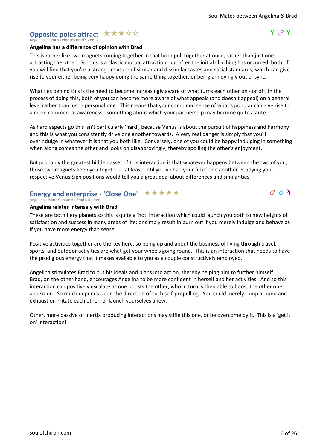# **Opposite poles attract ★ ★ ★ ☆** ☆

Angelina's Venus Opposes Brad's Venus

 $999$ 

### **Angelina has a difference of opinion with Brad**

This is rather like two magnets coming together in that both pull together at once, rather than just one attracting the other. So, this is a classic mutual attraction, but after the initial clinching has occurred, both of you will find that you're a strange mixture of similar and dissimilar tastes and social standards; which can give rise to your either being very happy doing the same thing together, or being annoyingly out of sync.

What lies behind this is the need to become increasingly aware of what turns each other on - or off. In the process of doing this, both of you can become more aware of what appeals (and doesn't appeal) on a general level rather than just a personal one. This means that your combined sense of what's popular can give rise to a more commercial awareness - something about which your partnership may become quite astute.

As hard aspects go this isn't particularly 'hard', because Venus is about the pursuit of happiness and harmony and this is what you consistently drive one another towards. A very real danger is simply that you'll overindulge in whatever it is that you both like. Conversely, one of you could be happy indulging in something when along comes the other and looks on disapprovingly, thereby spoiling the other's enjoyment.

But probably the greatest hidden asset of this interaction is that whatever happens between the two of you, those two magnets keep you together - at least until you've had your fill of one another. Studying your respective Venus Sign positions would tell you a great deal about differences and similarities.

#### Angelina's Mars Conjuncts Brad's Jupiter Energy and enterprise - 'Close One'  $\star \star \star \star \star$

 $d d 4$ 

### **Angelina relates intensely with Brad**

These are both fiery planets so this is quite a 'hot' interaction which could launch you both to new heights of satisfaction and success in many areas of life; or simply result in burn out if you merely indulge and behave as if you have more energy than sense.

Positive activities together are the key here, so being up and about the business of living through travel, sports, and outdoor activities are what get your wheels going round. This is an interaction that needs to have the prodigious energy that it makes available to you as a couple constructively employed.

Angelina stimulates Brad to put his ideals and plans into action, thereby helping him to further himself. Brad, on the other hand, encourages Angelina to be more confident in herself and her activities. And so this interaction can positively escalate as one boosts the other, who in turn is then able to boost the other one, and so on. So much depends upon the direction of such self-propelling. You could merely romp around and exhaust or irritate each other, or launch yourselves anew.

Other, more passive or inertia producing interactions may stifle this one, or be overcome by it. This is a 'get it on' interaction!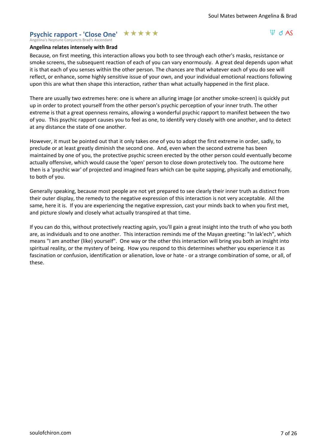# **Psychic rapport - 'Close One'** \*\*\*\*\*

 $\Psi$  d AS

### Angelina's Neptune Conjuncts Brad's Ascendant

**Angelina relates intensely with Brad**

Because, on first meeting, this interaction allows you both to see through each other's masks, resistance or smoke screens, the subsequent reaction of each of you can vary enormously. A great deal depends upon what it is that each of you senses within the other person. The chances are that whatever each of you do see will reflect, or enhance, some highly sensitive issue of your own, and your individual emotional reactions following upon this are what then shape this interaction, rather than what actually happened in the first place.

There are usually two extremes here: one is where an alluring image (or another smoke-screen) is quickly put up in order to protect yourself from the other person's psychic perception of your inner truth. The other extreme is that a great openness remains, allowing a wonderful psychic rapport to manifest between the two of you. This psychic rapport causes you to feel as one, to identify very closely with one another, and to detect at any distance the state of one another.

However, it must be pointed out that it only takes one of you to adopt the first extreme in order, sadly, to preclude or at least greatly diminish the second one. And, even when the second extreme has been maintained by one of you, the protective psychic screen erected by the other person could eventually become actually offensive, which would cause the 'open' person to close down protectively too. The outcome here then is a 'psychic war' of projected and imagined fears which can be quite sapping, physically and emotionally, to both of you.

Generally speaking, because most people are not yet prepared to see clearly their inner truth as distinct from their outer display, the remedy to the negative expression of this interaction is not very acceptable. All the same, here it is. If you are experiencing the negative expression, cast your minds back to when you first met, and picture slowly and closely what actually transpired at that time.

If you can do this, without protectively reacting again, you'll gain a great insight into the truth of who you both are, as individuals and to one another. This interaction reminds me of the Mayan greeting: "In lak'ech", which means "I am another (like) yourself". One way or the other this interaction will bring you both an insight into spiritual reality, or the mystery of being. How you respond to this determines whether you experience it as fascination or confusion, identification or alienation, love or hate - or a strange combination of some, or all, of these.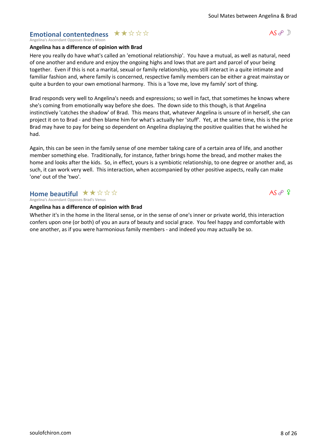$AS \rightarrow \mathbb{R}$ 

# Emotional contentedness  $\star\star\star\star\star\star$

Angelina's Ascendant Opposes Brad's Moon

#### **Angelina has a difference of opinion with Brad**

Here you really do have what's called an 'emotional relationship'. You have a mutual, as well as natural, need of one another and endure and enjoy the ongoing highs and lows that are part and parcel of your being together. Even if this is not a marital, sexual or family relationship, you still interact in a quite intimate and familiar fashion and, where family is concerned, respective family members can be either a great mainstay or quite a burden to your own emotional harmony. This is a 'love me, love my family' sort of thing.

Brad responds very well to Angelina's needs and expressions; so well in fact, that sometimes he knows where she's coming from emotionally way before she does. The down side to this though, is that Angelina instinctively 'catches the shadow' of Brad. This means that, whatever Angelina is unsure of in herself, she can project it on to Brad - and then blame him for what's actually her 'stuff'. Yet, at the same time, this is the price Brad may have to pay for being so dependent on Angelina displaying the positive qualities that he wished he had.

Again, this can be seen in the family sense of one member taking care of a certain area of life, and another member something else. Traditionally, for instance, father brings home the bread, and mother makes the home and looks after the kids. So, in effect, yours is a symbiotic relationship, to one degree or another and, as such, it can work very well. This interaction, when accompanied by other positive aspects, really can make 'one' out of the 'two'.

#### Angelina's Ascendant Opposes Brad's Venus Home beautiful **★★☆☆☆**

 $AS \rightarrow 9$ 

### **Angelina has a difference of opinion with Brad**

Whether it's in the home in the literal sense, or in the sense of one's inner or private world, this interaction confers upon one (or both) of you an aura of beauty and social grace. You feel happy and comfortable with one another, as if you were harmonious family members - and indeed you may actually be so.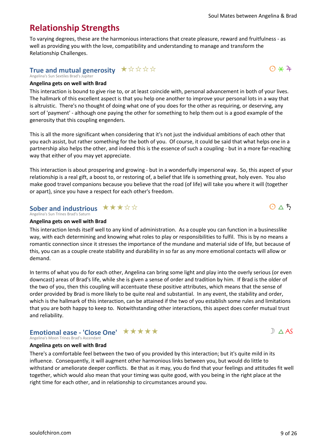# **Relationship Strengths**

To varying degrees, these are the harmonious interactions that create pleasure, reward and fruitfulness - as well as providing you with the love, compatibility and understanding to manage and transform the Relationship Challenges.

#### Angelina's Sun Sextiles Brad's Jupiter **True and mutual generosity**  $\star \forall \forall x \forall x$

 $\odot$   $*$  4

 $0 \wedge 5$ 

 $D \wedge AS$ 

### **Angelina gets on well with Brad**

This interaction is bound to give rise to, or at least coincide with, personal advancement in both of your lives. The hallmark of this excellent aspect is that you help one another to improve your personal lots in a way that is altruistic. There's no thought of doing what one of you does for the other as requiring, or deserving, any sort of 'payment' - although one paying the other for something to help them out is a good example of the generosity that this coupling engenders.

This is all the more significant when considering that it's not just the individual ambitions of each other that you each assist, but rather something for the both of you. Of course, it could be said that what helps one in a partnership also helps the other, and indeed this is the essence of such a coupling - but in a more far-reaching way that either of you may yet appreciate.

This interaction is about prospering and growing - but in a wonderfully impersonal way. So, this aspect of your relationship is a real gift, a boost to, or restoring of, a belief that life is something great, holy even. You also make good travel companions because you believe that the road (of life) will take you where it will (together or apart), since you have a respect for each other's freedom.

# **Sober and industrious** aaass

### Angelina's Sun Trines Brad's Saturn

### **Angelina gets on well with Brad**

This interaction lends itself well to any kind of administration. As a couple you can function in a businesslike way, with each determining and knowing what roles to play or responsibilities to fulfil. This is by no means a romantic connection since it stresses the importance of the mundane and material side of life, but because of this, you can as a couple create stability and durability in so far as any more emotional contacts will allow or demand.

In terms of what you do for each other, Angelina can bring some light and play into the overly serious (or even downcast) areas of Brad's life, while she is given a sense of order and tradition by him. If Brad is the older of the two of you, then this coupling will accentuate these positive attributes, which means that the sense of order provided by Brad is more likely to be quite real and substantial. In any event, the stability and order, which is the hallmark of this interaction, can be attained if the two of you establish some rules and limitations that you are both happy to keep to. Notwithstanding other interactions, this aspect does confer mutual trust and reliability.

# Emotional ease - 'Close One' \*\*\*\*\*

Angelina's Moon Trines Brad's Ascendant

### **Angelina gets on well with Brad**

There's a comfortable feel between the two of you provided by this interaction; but it's quite mild in its influence. Consequently, it will augment other harmonious links between you, but would do little to withstand or ameliorate deeper conflicts. Be that as it may, you do find that your feelings and attitudes fit well together, which would also mean that your timing was quite good, with you being in the right place at the right time for each other, and in relationship to circumstances around you.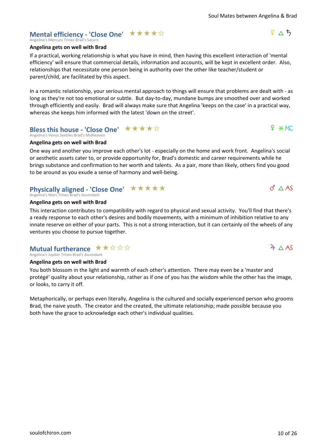# **Mental efficiency - 'Close One'** ★ ★ ★ ★ ☆

Angelina's Mercury Trines Brad's Saturn

### **Angelina gets on well with Brad**

If a practical, working relationship is what you have in mind, then having this excellent interaction of 'mental efficiency' will ensure that commercial details, information and accounts, will be kept in excellent order. Also, relationships that necessitate one person being in authority over the other like teacher/student or parent/child, are facilitated by this aspect.

In a romantic relationship, your serious mental approach to things will ensure that problems are dealt with - as long as they're not too emotional or subtle. But day-to-day, mundane bumps are smoothed over and worked through efficiently and easily. Brad will always make sure that Angelina 'keeps on the case' in a practical way, whereas she keeps him informed with the latest 'down on the street'.

# **Bless this house - 'Close One' ★★★★☆**

Angelina's Venus Sextiles Brad's Midheaven

### **Angelina gets on well with Brad**

One way and another you improve each other's lot - especially on the home and work front. Angelina's social or aesthetic assets cater to, or provide opportunity for, Brad's domestic and career requirements while he brings substance and confirmation to her worth and talents. As a pair, more than likely, others find you good to be around as you exude a sense of harmony and well-being.

# **Physically aligned - 'Close One'** ★ ★ ★ ★ ★

### Angelina's Mars Trines Brad's Ascendant

### **Angelina gets on well with Brad**

This interaction contributes to compatibility with regard to physical and sexual activity. You'll find that there's a ready response to each other's desires and bodily movements, with a minimum of inhibition relative to any innate reserve on either of your parts. This is not a strong interaction, but it can certainly oil the wheels of any ventures you choose to pursue together.

### **Mutual furtherance** ★★☆☆☆

Angelina's Jupiter Trines Brad's Ascendant

### **Angelina gets on well with Brad**

You both blossom in the light and warmth of each other's attention. There may even be a 'master and protégé' quality about your relationship, rather as if one of you has the wisdom while the other has the image, or looks, to carry it off.

Metaphorically, or perhaps even literally, Angelina is the cultured and socially experienced person who grooms Brad, the naive youth. The creator and the created, the ultimate relationship; made possible because you both have the grace to acknowledge each other's individual qualities.



# $P \times MC$

 $d' \wedge AS$ 

$$
4\triangle AS
$$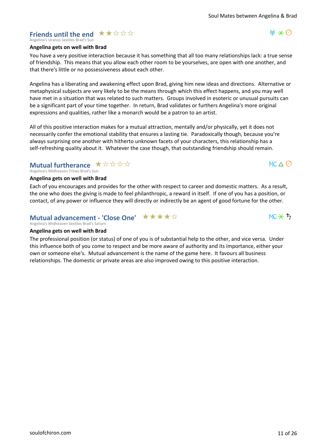### **Friends until the end**  $\star \star \star \star \star \star$

 $H \times O$ 

 $MC \triangle O$ 

 $MC + 5$ 

Angelina's Uranus Sextiles Brad's Sun

# **Angelina gets on well with Brad**

You have a very positive interaction because it has something that all too many relationships lack: a true sense of friendship. This means that you allow each other room to be yourselves, are open with one another, and that there's little or no possessiveness about each other.

Angelina has a liberating and awakening effect upon Brad, giving him new ideas and directions. Alternative or metaphysical subjects are very likely to be the means through which this effect happens, and you may well have met in a situation that was related to such matters. Groups involved in esoteric or unusual pursuits can be a significant part of your time together. In return, Brad validates or furthers Angelina's more original expressions and qualities, rather like a monarch would be a patron to an artist.

All of this positive interaction makes for a mutual attraction, mentally and/or physically, yet it does not necessarily confer the emotional stability that ensures a lasting tie. Paradoxically though, because you're always surprising one another with hitherto unknown facets of your characters, this relationship has a self-refreshing quality about it. Whatever the case though, that outstanding friendship should remain.

# **Mutual furtherance**  $\star \forall x \forall x$

Angelina's Midheaven Trines Brad's Sun

### **Angelina gets on well with Brad**

Each of you encourages and provides for the other with respect to career and domestic matters. As a result, the one who does the giving is made to feel philanthropic, a reward in itself. If one of you has a position, or contact, of any power or influence they will directly or indirectly be an agent of good fortune for the other.

#### Angelina's Midheaven Sextiles Brad's Saturn **Mutual advancement - 'Close One' ★★★★**☆

### **Angelina gets on well with Brad**

The professional position (or status) of one of you is of substantial help to the other, and vice versa. Under this influence both of you come to respect and be more aware of authority and its importance, either your own or someone else's. Mutual advancement is the name of the game here. It favours all business relationships. The domestic or private areas are also improved owing to this positive interaction.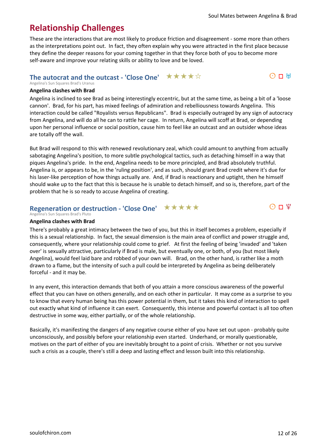# **Relationship Challenges**

These are the interactions that are most likely to produce friction and disagreement - some more than others as the interpretations point out. In fact, they often explain why you were attracted in the first place because they define the deeper reasons for your coming together in that they force both of you to become more self-aware and improve your relating skills or ability to love and be loved.

#### Angelina's Sun Squares Brad's Uranus **The autocrat and the outcast - 'Close One' aat ★★★★☆**

 $O$   $D$   $H$ 

 $O$   $\Box$   $\mathcal{L}$ 

### **Angelina clashes with Brad**

Angelina is inclined to see Brad as being interestingly eccentric, but at the same time, as being a bit of a 'loose cannon'. Brad, for his part, has mixed feelings of admiration and rebelliousness towards Angelina. This interaction could be called "Royalists versus Republicans". Brad is especially outraged by any sign of autocracy from Angelina, and will do all he can to rattle her cage. In return, Angelina will scoff at Brad, or depending upon her personal influence or social position, cause him to feel like an outcast and an outsider whose ideas are totally off the wall.

But Brad will respond to this with renewed revolutionary zeal, which could amount to anything from actually sabotaging Angelina's position, to more subtle psychological tactics, such as detaching himself in a way that piques Angelina's pride. In the end, Angelina needs to be more principled, and Brad absolutely truthful. Angelina is, or appears to be, in the 'ruling position', and as such, should grant Brad credit where it's due for his laser-like perception of how things actually are. And, if Brad is reactionary and uptight, then he himself should wake up to the fact that this is because he is unable to detach himself, and so is, therefore, part of the problem that he is so ready to accuse Angelina of creating.

#### Angelina's Sun Squares Brad's Pluto **Regeneration or destruction - 'Close One'** ★ ★ ★ ★ ★

### **Angelina clashes with Brad**

There's probably a great intimacy between the two of you, but this in itself becomes a problem, especially if this is a sexual relationship. In fact, the sexual dimension is the main area of conflict and power struggle and, consequently, where your relationship could come to grief. At first the feeling of being 'invaded' and 'taken over' is sexually attractive, particularly if Brad is male, but eventually one, or both, of you (but most likely Angelina), would feel laid bare and robbed of your own will. Brad, on the other hand, is rather like a moth drawn to a flame, but the intensity of such a pull could be interpreted by Angelina as being deliberately forceful - and it may be.

In any event, this interaction demands that both of you attain a more conscious awareness of the powerful effect that you can have on others generally, and on each other in particular. It may come as a surprise to you to know that every human being has this power potential in them, but it takes this kind of interaction to spell out exactly what kind of influence it can exert. Consequently, this intense and powerful contact is all too often destructive in some way, either partially, or of the whole relationship.

Basically, it's manifesting the dangers of any negative course either of you have set out upon - probably quite unconsciously, and possibly before your relationship even started. Underhand, or morally questionable, motives on the part of either of you are inevitably brought to a point of crisis. Whether or not you survive such a crisis as a couple, there's still a deep and lasting effect and lesson built into this relationship.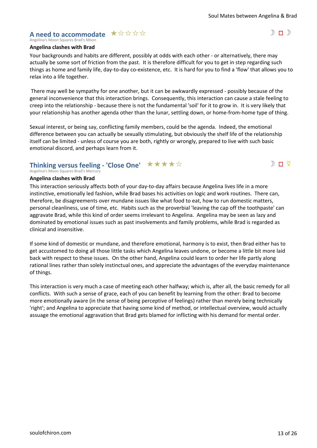$D \cap D$ 

 $D \Pi$   $\Sigma$ 

# **A need to accommodate**  $\star \forall x \forall x$

Angelina's Moon Squares Brad's Moon

#### **Angelina clashes with Brad**

Your backgrounds and habits are different, possibly at odds with each other - or alternatively, there may actually be some sort of friction from the past. It is therefore difficult for you to get in step regarding such things as home and family life, day-to-day co-existence, etc. It is hard for you to find a 'flow' that allows you to relax into a life together.

 There may well be sympathy for one another, but it can be awkwardly expressed - possibly because of the general inconvenience that this interaction brings. Consequently, this interaction can cause a stale feeling to creep into the relationship - because there is not the fundamental 'soil' for it to grow in. It is very likely that your relationship has another agenda other than the lunar, settling down, or home-from-home type of thing.

Sexual interest, or being say, conflicting family members, could be the agenda. Indeed, the emotional difference between you can actually be sexually stimulating, but obviously the shelf life of the relationship itself can be limited - unless of course you are both, rightly or wrongly, prepared to live with such basic emotional discord, and perhaps learn from it.

# **Thinking versus feeling - 'Close One'** ★★★★☆

Angelina's Moon Squares Brad's Mercur

#### **Angelina clashes with Brad**

This interaction seriously affects both of your day-to-day affairs because Angelina lives life in a more instinctive, emotionally led fashion, while Brad bases his activities on logic and work routines. There can, therefore, be disagreements over mundane issues like what food to eat, how to run domestic matters, personal cleanliness, use of time, etc. Habits such as the proverbial 'leaving the cap off the toothpaste' can aggravate Brad, while this kind of order seems irrelevant to Angelina. Angelina may be seen as lazy and dominated by emotional issues such as past involvements and family problems, while Brad is regarded as clinical and insensitive.

If some kind of domestic or mundane, and therefore emotional, harmony is to exist, then Brad either has to get accustomed to doing all those little tasks which Angelina leaves undone, or become a little bit more laid back with respect to these issues. On the other hand, Angelina could learn to order her life partly along rational lines rather than solely instinctual ones, and appreciate the advantages of the everyday maintenance of things.

This interaction is very much a case of meeting each other halfway; which is, after all, the basic remedy for all conflicts. With such a sense of grace, each of you can benefit by learning from the other: Brad to become more emotionally aware (in the sense of being perceptive of feelings) rather than merely being technically 'right'; and Angelina to appreciate that having some kind of method, or intellectual overview, would actually assuage the emotional aggravation that Brad gets blamed for inflicting with his demand for mental order.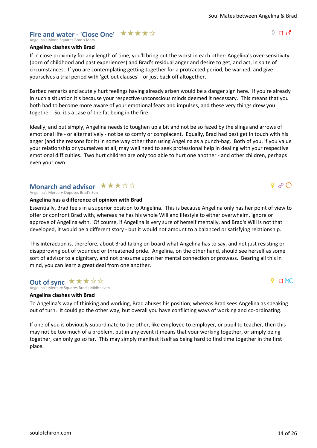$D \Pi d'$ 

 $\Phi$   $\Theta$ 

 $\overline{P}$   $\Box$  MC

# **Fire and water - 'Close One' ★★★★**☆

Angelina's Moon Squares Brad's Mars

#### **Angelina clashes with Brad**

If in close proximity for any length of time, you'll bring out the worst in each other: Angelina's over-sensitivity (born of childhood and past experiences) and Brad's residual anger and desire to get, and act, in spite of circumstances. If you are contemplating getting together for a protracted period, be warned, and give yourselves a trial period with 'get-out clauses' - or just back off altogether.

Barbed remarks and acutely hurt feelings having already arisen would be a danger sign here. If you're already in such a situation it's because your respective unconscious minds deemed it necessary. This means that you both had to become more aware of your emotional fears and impulses, and these very things drew you together. So, it's a case of the fat being in the fire.

Ideally, and put simply, Angelina needs to toughen up a bit and not be so fazed by the slings and arrows of emotional life - or alternatively - not be so comfy or complacent. Equally, Brad had best get in touch with his anger (and the reasons for it) in some way other than using Angelina as a punch-bag. Both of you, if you value your relationship or yourselves at all, may well need to seek professional help in dealing with your respective emotional difficulties. Two hurt children are only too able to hurt one another - and other children, perhaps even your own.

### **Monarch and advisor**  $\star \star \star \star \star$

Angelina's Mercury Opposes Brad's Sun

#### **Angelina has a difference of opinion with Brad**

Essentially, Brad feels in a superior position to Angelina. This is because Angelina only has her point of view to offer or confront Brad with, whereas he has his whole Will and lifestyle to either overwhelm, ignore or approve of Angelina with. Of course, if Angelina is very sure of herself mentally, and Brad's Will is not that developed, it would be a different story - but it would not amount to a balanced or satisfying relationship.

This interaction is, therefore, about Brad taking on board what Angelina has to say, and not just resisting or disapproving out of wounded or threatened pride. Angelina, on the other hand, should see herself as some sort of advisor to a dignitary, and not presume upon her mental connection or prowess. Bearing all this in mind, you can learn a great deal from one another.

### **Out of sync \*\*\*\*\***

#### Angelina's Mercury Squares Brad's Midheaven **Angelina clashes with Brad**

To Angelina's way of thinking and working, Brad abuses his position; whereas Brad sees Angelina as speaking out of turn. It could go the other way, but overall you have conflicting ways of working and co-ordinating.

If one of you is obviously subordinate to the other, like employee to employer, or pupil to teacher, then this may not be too much of a problem, but in any event it means that your working together, or simply being together, can only go so far. This may simply manifest itself as being hard to find time together in the first place.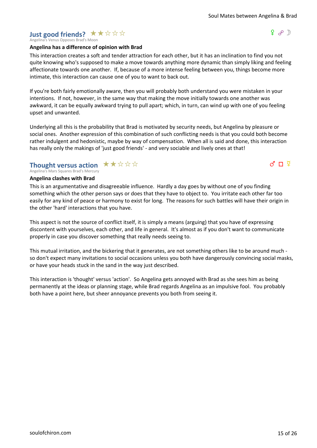### **Just good friends?**  $\star \star \star \star \star \star$

Angelina's Venus Opposes Brad's Moon

 $f \circ g$ 

 $d \Box$ 

### **Angelina has a difference of opinion with Brad**

This interaction creates a soft and tender attraction for each other, but it has an inclination to find you not quite knowing who's supposed to make a move towards anything more dynamic than simply liking and feeling affectionate towards one another. If, because of a more intense feeling between you, things become more intimate, this interaction can cause one of you to want to back out.

If you're both fairly emotionally aware, then you will probably both understand you were mistaken in your intentions. If not, however, in the same way that making the move initially towards one another was awkward, it can be equally awkward trying to pull apart; which, in turn, can wind up with one of you feeling upset and unwanted.

Underlying all this is the probability that Brad is motivated by security needs, but Angelina by pleasure or social ones. Another expression of this combination of such conflicting needs is that you could both become rather indulgent and hedonistic, maybe by way of compensation. When all is said and done, this interaction has really only the makings of 'just good friends' - and very sociable and lively ones at that!

# **Thought versus action ★★☆☆☆**

Angelina's Mars Squares Brad's Mercury

### **Angelina clashes with Brad**

This is an argumentative and disagreeable influence. Hardly a day goes by without one of you finding something which the other person says or does that they have to object to. You irritate each other far too easily for any kind of peace or harmony to exist for long. The reasons for such battles will have their origin in the other 'hard' interactions that you have.

This aspect is not the source of conflict itself, it is simply a means (arguing) that you have of expressing discontent with yourselves, each other, and life in general. It's almost as if you don't want to communicate properly in case you discover something that really needs seeing to.

This mutual irritation, and the bickering that it generates, are not something others like to be around much so don't expect many invitations to social occasions unless you both have dangerously convincing social masks, or have your heads stuck in the sand in the way just described.

This interaction is 'thought' versus 'action'. So Angelina gets annoyed with Brad as she sees him as being permanently at the ideas or planning stage, while Brad regards Angelina as an impulsive fool. You probably both have a point here, but sheer annoyance prevents you both from seeing it.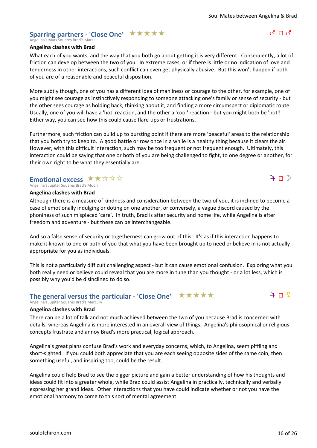$d \Pi d$ 

 $4 \cap D$ 

 $4 \pi$ 

# Sparring partners - 'Close One' \*\*\*\*\*

Angelina's Mars Squares Brad's Mars

#### **Angelina clashes with Brad**

What each of you wants, and the way that you both go about getting it is very different. Consequently, a lot of friction can develop between the two of you. In extreme cases, or if there is little or no indication of love and tenderness in other interactions, such conflict can even get physically abusive. But this won't happen if both of you are of a reasonable and peaceful disposition.

More subtly though, one of you has a different idea of manliness or courage to the other, for example, one of you might see courage as instinctively responding to someone attacking one's family or sense of security - but the other sees courage as holding back, thinking about it, and finding a more circumspect or diplomatic route. Usually, one of you will have a 'hot' reaction, and the other a 'cool' reaction - but you might both be 'hot'! Either way, you can see how this could cause flare-ups or frustrations.

Furthermore, such friction can build up to bursting point if there are more 'peaceful' areas to the relationship that you both try to keep to. A good battle or row once in a while is a healthy thing because it clears the air. However, with this difficult interaction, such may be too frequent or not frequent enough. Ultimately, this interaction could be saying that one or both of you are being challenged to fight, to one degree or another, for their own right to be what they essentially are.

#### Angelina's Jupiter Squares Brad's Moon **Emotional excess**  $\star \star \star \star \star \star$

### **Angelina clashes with Brad**

Although there is a measure of kindness and consideration between the two of you, it is inclined to become a case of emotionally indulging or doting on one another, or conversely, a vague discord caused by the phoniness of such misplaced 'care'. In truth, Brad is after security and home life, while Angelina is after freedom and adventure - but these can be interchangeable.

And so a false sense of security or togetherness can grow out of this. It's as if this interaction happens to make it known to one or both of you that what you have been brought up to need or believe in is not actually appropriate for you as individuals.

This is not a particularly difficult challenging aspect - but it can cause emotional confusion. Exploring what you both really need or believe could reveal that you are more in tune than you thought - or a lot less, which is possibly why you'd be disinclined to do so.

# The general versus the particular - 'Close One' **★★★★**★

# Angelina's Jupiter Squares Brad's Mercury

### **Angelina clashes with Brad**

There can be a lot of talk and not much achieved between the two of you because Brad is concerned with details, whereas Angelina is more interested in an overall view of things. Angelina's philosophical or religious concepts frustrate and annoy Brad's more practical, logical approach.

Angelina's great plans confuse Brad's work and everyday concerns, which, to Angelina, seem piffling and short-sighted. If you could both appreciate that you are each seeing opposite sides of the same coin, then something useful, and inspiring too, could be the result.

Angelina could help Brad to see the bigger picture and gain a better understanding of how his thoughts and ideas could fit into a greater whole, while Brad could assist Angelina in practically, technically and verbally expressing her grand ideas. Other interactions that you have could indicate whether or not you have the emotional harmony to come to this sort of mental agreement.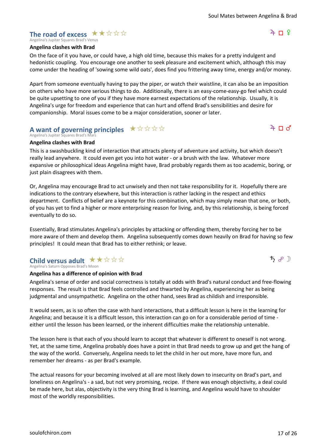### **The road of excess**  $\star \star \star \star \star \star$

Angelina's Jupiter Squares Brad's Venus

#### **Angelina clashes with Brad**

On the face of it you have, or could have, a high old time, because this makes for a pretty indulgent and hedonistic coupling. You encourage one another to seek pleasure and excitement which, although this may come under the heading of 'sowing some wild oats', does find you frittering away time, energy and/or money.

Apart from someone eventually having to pay the piper, or watch their waistline, it can also be an imposition on others who have more serious things to do. Additionally, there is an easy-come-easy-go feel which could be quite upsetting to one of you if they have more earnest expectations of the relationship. Usually, it is Angelina's urge for freedom and experience that can hurt and offend Brad's sensibilities and desire for companionship. Moral issues come to be a major consideration, sooner or later.

# A want of governing principles  $\quad \star \forall \forall x \forall x$

#### Angelina's Jupiter Squares Brad's Ma **Angelina clashes with Brad**

This is a swashbuckling kind of interaction that attracts plenty of adventure and activity, but which doesn't really lead anywhere. It could even get you into hot water - or a brush with the law. Whatever more expansive or philosophical ideas Angelina might have, Brad probably regards them as too academic, boring, or just plain disagrees with them.

Or, Angelina may encourage Brad to act unwisely and then not take responsibility for it. Hopefully there are indications to the contrary elsewhere, but this interaction is rather lacking in the respect and ethics department. Conflicts of belief are a keynote for this combination, which may simply mean that one, or both, of you has yet to find a higher or more enterprising reason for living, and, by this relationship, is being forced eventually to do so.

Essentially, Brad stimulates Angelina's principles by attacking or offending them, thereby forcing her to be more aware of them and develop them. Angelina subsequently comes down heavily on Brad for having so few principles! It could mean that Brad has to either rethink; or leave.

### **Child versus adult ★★☆☆☆**

Angelina's Saturn Opposes Brad's Moon

### **Angelina has a difference of opinion with Brad**

Angelina's sense of order and social correctness is totally at odds with Brad's natural conduct and free-flowing responses. The result is that Brad feels controlled and thwarted by Angelina, experiencing her as being judgmental and unsympathetic. Angelina on the other hand, sees Brad as childish and irresponsible.

It would seem, as is so often the case with hard interactions, that a difficult lesson is here in the learning for Angelina; and because it is a difficult lesson, this interaction can go on for a considerable period of time either until the lesson has been learned, or the inherent difficulties make the relationship untenable.

The lesson here is that each of you should learn to accept that whatever is different to oneself is not wrong. Yet, at the same time, Angelina probably does have a point in that Brad needs to grow up and get the hang of the way of the world. Conversely, Angelina needs to let the child in her out more, have more fun, and remember her dreams - as per Brad's example.

The actual reasons for your becoming involved at all are most likely down to insecurity on Brad's part, and loneliness on Angelina's - a sad, but not very promising, recipe. If there was enough objectivity, a deal could be made here, but alas, objectivity is the very thing Brad is learning, and Angelina would have to shoulder most of the worldly responsibilities.



 $4 \pi d$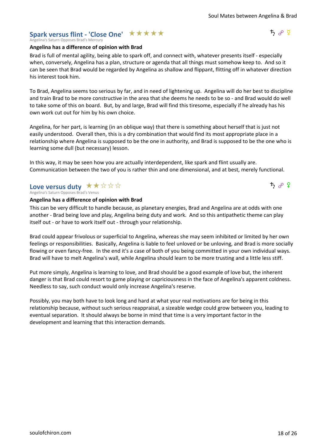# Spark versus flint - 'Close One' \*\*\*\*\*

Angelina's Saturn Opposes Brad's Mercury

#### **Angelina has a difference of opinion with Brad**

Brad is full of mental agility, being able to spark off, and connect with, whatever presents itself - especially when, conversely, Angelina has a plan, structure or agenda that all things must somehow keep to. And so it can be seen that Brad would be regarded by Angelina as shallow and flippant, flitting off in whatever direction his interest took him.

To Brad, Angelina seems too serious by far, and in need of lightening up. Angelina will do her best to discipline and train Brad to be more constructive in the area that she deems he needs to be so - and Brad would do well to take some of this on board. But, by and large, Brad will find this tiresome, especially if he already has his own work cut out for him by his own choice.

Angelina, for her part, is learning (in an oblique way) that there is something about herself that is just not easily understood. Overall then, this is a dry combination that would find its most appropriate place in a relationship where Angelina is supposed to be the one in authority, and Brad is supposed to be the one who is learning some dull (but necessary) lesson.

In this way, it may be seen how you are actually interdependent, like spark and flint usually are. Communication between the two of you is rather thin and one dimensional, and at best, merely functional.

# **Love versus duty ★★☆☆☆**

Angelina's Saturn Opposes Brad's Venus

#### **Angelina has a difference of opinion with Brad**

This can be very difficult to handle because, as planetary energies, Brad and Angelina are at odds with one another - Brad being love and play, Angelina being duty and work. And so this antipathetic theme can play itself out - or have to work itself out - through your relationship.

Brad could appear frivolous or superficial to Angelina, whereas she may seem inhibited or limited by her own feelings or responsibilities. Basically, Angelina is liable to feel unloved or be unloving, and Brad is more socially flowing or even fancy-free. In the end it's a case of both of you being committed in your own individual ways. Brad will have to melt Angelina's wall, while Angelina should learn to be more trusting and a little less stiff.

Put more simply, Angelina is learning to love, and Brad should be a good example of love but, the inherent danger is that Brad could resort to game playing or capriciousness in the face of Angelina's apparent coldness. Needless to say, such conduct would only increase Angelina's reserve.

Possibly, you may both have to look long and hard at what your real motivations are for being in this relationship because, without such serious reappraisal, a sizeable wedge could grow between you, leading to eventual separation. It should always be borne in mind that time is a very important factor in the development and learning that this interaction demands.



 $5$   $\phi$   $9$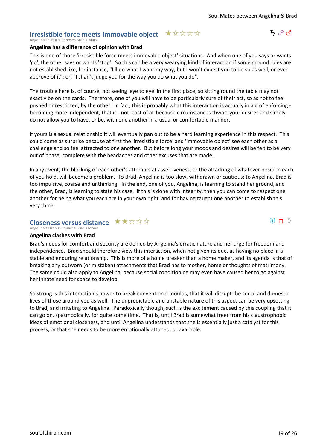$\hbar \partial \rho d$ 

 $H \Box$ 

# **Irresistible force meets immovable object**  $\star \forall \forall x \forall x$

Angelina's Saturn Opposes Brad's Mars

#### **Angelina has a difference of opinion with Brad**

This is one of those 'irresistible force meets immovable object' situations. And when one of you says or wants 'go', the other says or wants 'stop'. So this can be a very wearying kind of interaction if some ground rules are not established like, for instance, "I'll do what I want my way, but I won't expect you to do so as well, or even approve of it"; or, "I shan't judge you for the way you do what you do".

The trouble here is, of course, not seeing 'eye to eye' in the first place, so sitting round the table may not exactly be on the cards. Therefore, one of you will have to be particularly sure of their act, so as not to feel pushed or restricted, by the other. In fact, this is probably what this interaction is actually in aid of enforcing becoming more independent, that is - not least of all because circumstances thwart your desires and simply do not allow you to have, or be, with one another in a usual or comfortable manner.

If yours is a sexual relationship it will eventually pan out to be a hard learning experience in this respect. This could come as surprise because at first the 'irresistible force' and 'immovable object' see each other as a challenge and so feel attracted to one another. But before long your moods and desires will be felt to be very out of phase, complete with the headaches and other excuses that are made.

In any event, the blocking of each other's attempts at assertiveness, or the attacking of whatever position each of you hold, will become a problem. To Brad, Angelina is too slow, withdrawn or cautious; to Angelina, Brad is too impulsive, coarse and unthinking. In the end, one of you, Angelina, is learning to stand her ground, and the other, Brad, is learning to state his case. If this is done with integrity, then you can come to respect one another for being what you each are in your own right, and for having taught one another to establish this very thing.

# **Closeness versus distance ★★★☆☆**

Angelina's Uranus Squares Brad's Moon

#### **Angelina clashes with Brad**

Brad's needs for comfort and security are denied by Angelina's erratic nature and her urge for freedom and independence. Brad should therefore view this interaction, when not given its due, as having no place in a stable and enduring relationship. This is more of a home breaker than a home maker, and its agenda is that of breaking any outworn (or mistaken) attachments that Brad has to mother, home or thoughts of matrimony. The same could also apply to Angelina, because social conditioning may even have caused her to go against her innate need for space to develop.

So strong is this interaction's power to break conventional moulds, that it will disrupt the social and domestic lives of those around you as well. The unpredictable and unstable nature of this aspect can be very upsetting to Brad, and irritating to Angelina. Paradoxically though, such is the excitement caused by this coupling that it can go on, spasmodically, for quite some time. That is, until Brad is somewhat freer from his claustrophobic ideas of emotional closeness, and until Angelina understands that she is essentially just a catalyst for this process, or that she needs to be more emotionally attuned, or available.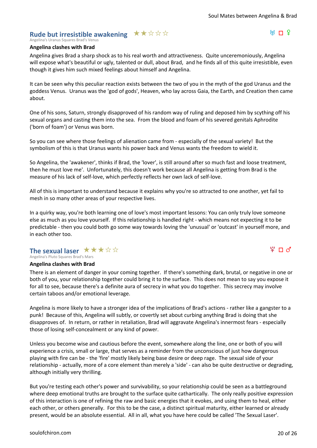$H \nightharpoonup$   $\Omega$ 

### **Rude but irresistible awakening**  $\star \star \mathbb{X} \times \mathbb{X}$

Angelina's Uranus Squares Brad's Venus

#### **Angelina clashes with Brad**

Angelina gives Brad a sharp shock as to his real worth and attractiveness. Quite unceremoniously, Angelina will expose what's beautiful or ugly, talented or dull, about Brad, and he finds all of this quite irresistible, even though it gives him such mixed feelings about himself and Angelina.

It can be seen why this peculiar reaction exists between the two of you in the myth of the god Uranus and the goddess Venus. Uranus was the 'god of gods', Heaven, who lay across Gaia, the Earth, and Creation then came about.

One of his sons, Saturn, strongly disapproved of his random way of ruling and deposed him by scything off his sexual organs and casting them into the sea. From the blood and foam of his severed genitals Aphrodite ('born of foam') or Venus was born.

So you can see where those feelings of alienation came from - especially of the sexual variety! But the symbolism of this is that Uranus wants his power back and Venus wants the freedom to wield it.

So Angelina, the 'awakener', thinks if Brad, the 'lover', is still around after so much fast and loose treatment, then he must love me'. Unfortunately, this doesn't work because all Angelina is getting from Brad is the measure of his lack of self-love, which perfectly reflects her own lack of self-love.

All of this is important to understand because it explains why you're so attracted to one another, yet fail to mesh in so many other areas of your respective lives.

In a quirky way, you're both learning one of love's most important lessons: You can only truly love someone else as much as you love yourself. If this relationship is handled right - which means not expecting it to be predictable - then you could both go some way towards loving the 'unusual' or 'outcast' in yourself more, and in each other too.

### **The sexual laser** ★★★☆☆

### $\mathfrak{P} \sqcap \mathfrak{C}$

Angelina's Pluto Squares Brad's Mars

### **Angelina clashes with Brad**

There is an element of danger in your coming together. If there's something dark, brutal, or negative in one or both of you, your relationship together could bring it to the surface. This does not mean to say you expose it for all to see, because there's a definite aura of secrecy in what you do together. This secrecy may involve certain taboos and/or emotional leverage.

Angelina is more likely to have a stronger idea of the implications of Brad's actions - rather like a gangster to a punk! Because of this, Angelina will subtly, or covertly set about curbing anything Brad is doing that she disapproves of. In return, or rather in retaliation, Brad will aggravate Angelina's innermost fears - especially those of losing self-concealment or any kind of power.

Unless you become wise and cautious before the event, somewhere along the line, one or both of you will experience a crisis, small or large, that serves as a reminder from the unconscious of just how dangerous playing with fire can be - the 'fire' mostly likely being base desire or deep rage. The sexual side of your relationship - actually, more of a core element than merely a 'side' - can also be quite destructive or degrading, although initially very thrilling.

But you're testing each other's power and survivability, so your relationship could be seen as a battleground where deep emotional truths are brought to the surface quite cathartically. The only really positive expression of this interaction is one of refining the raw and basic energies that it evokes, and using them to heal, either each other, or others generally. For this to be the case, a distinct spiritual maturity, either learned or already present, would be an absolute essential. All in all, what you have here could be called 'The Sexual Laser'.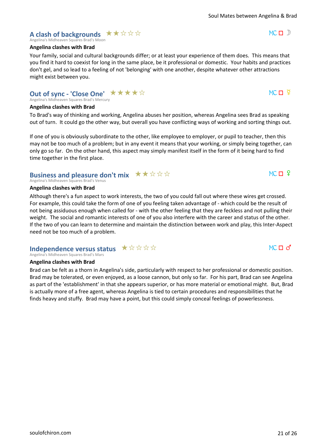# **A clash of backgrounds**  $\star \star \star \star \star \star$

Angelina's Midheaven Squares Brad's Moon

### **Angelina clashes with Brad**

Your family, social and cultural backgrounds differ; or at least your experience of them does. This means that you find it hard to coexist for long in the same place, be it professional or domestic. Your habits and practices don't gel, and so lead to a feeling of not 'belonging' with one another, despite whatever other attractions might exist between you.

# **Out of sync - 'Close One' ★★★★**☆

Angelina's Midheaven Squares Brad's Mercury

### **Angelina clashes with Brad**

To Brad's way of thinking and working, Angelina abuses her position, whereas Angelina sees Brad as speaking out of turn. It could go the other way, but overall you have conflicting ways of working and sorting things out.

If one of you is obviously subordinate to the other, like employee to employer, or pupil to teacher, then this may not be too much of a problem; but in any event it means that your working, or simply being together, can only go so far. On the other hand, this aspect may simply manifest itself in the form of it being hard to find time together in the first place.

# **Business and pleasure don't mix about**  $\star \star \star \star \star \star$

Angelina's Midheaven Squares Brad's Venus

### **Angelina clashes with Brad**

Although there's a fun aspect to work interests, the two of you could fall out where these wires get crossed. For example, this could take the form of one of you feeling taken advantage of - which could be the result of not being assiduous enough when called for - with the other feeling that they are feckless and not pulling their weight. The social and romantic interests of one of you also interfere with the career and status of the other. If the two of you can learn to determine and maintain the distinction between work and play, this Inter-Aspect need not be too much of a problem.

# **Independence versus status**  $\star \forall x \forall x \forall x$

Angelina's Midheaven Squares Brad's Mars

### **Angelina clashes with Brad**

Brad can be felt as a thorn in Angelina's side, particularly with respect to her professional or domestic position. Brad may be tolerated, or even enjoyed, as a loose cannon, but only so far. For his part, Brad can see Angelina as part of the 'establishment' in that she appears superior, or has more material or emotional might. But, Brad is actually more of a free agent, whereas Angelina is tied to certain procedures and responsibilities that he finds heavy and stuffy. Brad may have a point, but this could simply conceal feelings of powerlessness.

# $MC \Pi \nabla$

 $MC \Box$   $\Omega$ 

 $MC \Box$ 

# $MC \Box C$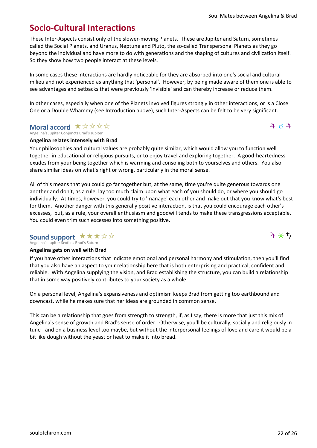# **Socio-Cultural Interactions**

These Inter-Aspects consist only of the slower-moving Planets. These are Jupiter and Saturn, sometimes called the Social Planets, and Uranus, Neptune and Pluto, the so-called Transpersonal Planets as they go beyond the individual and have more to do with generations and the shaping of cultures and civilization itself. So they show how two people interact at these levels.

In some cases these interactions are hardly noticeable for they are absorbed into one's social and cultural milieu and not experienced as anything that 'personal'. However, by being made aware of them one is able to see advantages and setbacks that were previously 'invisible' and can thereby increase or reduce them.

In other cases, especially when one of the Planets involved figures strongly in other interactions, or is a Close One or a Double Whammy (see Introduction above), such Inter-Aspects can be felt to be very significant.

### **Moral accord**  $\star$  $\forall$  $\forall$  $\forall$  $\forall$



 $4 * 5$ 

Angelina's Jupiter Conjuncts Brad's Jupiter

### **Angelina relates intensely with Brad**

Your philosophies and cultural values are probably quite similar, which would allow you to function well together in educational or religious pursuits, or to enjoy travel and exploring together. A good-heartedness exudes from your being together which is warming and consoling both to yourselves and others. You also share similar ideas on what's right or wrong, particularly in the moral sense.

All of this means that you could go far together but, at the same, time you're quite generous towards one another and don't, as a rule, lay too much claim upon what each of you should do, or where you should go individually. At times, however, you could try to 'manage' each other and make out that you know what's best for them. Another danger with this generally positive interaction, is that you could encourage each other's excesses, but, as a rule, your overall enthusiasm and goodwill tends to make these transgressions acceptable. You could even trim such excesses into something positive.

### Sound support  $\star\star\star\star\star$

Angelina's Jupiter Sextiles Brad's Saturn

### **Angelina gets on well with Brad**

If you have other interactions that indicate emotional and personal harmony and stimulation, then you'll find that you also have an aspect to your relationship here that is both enterprising and practical, confident and reliable. With Angelina supplying the vision, and Brad establishing the structure, you can build a relationship that in some way positively contributes to your society as a whole.

On a personal level, Angelina's expansiveness and optimism keeps Brad from getting too earthbound and downcast, while he makes sure that her ideas are grounded in common sense.

This can be a relationship that goes from strength to strength, if, as I say, there is more that just this mix of Angelina's sense of growth and Brad's sense of order. Otherwise, you'll be culturally, socially and religiously in tune - and on a business level too maybe, but without the interpersonal feelings of love and care it would be a bit like dough without the yeast or heat to make it into bread.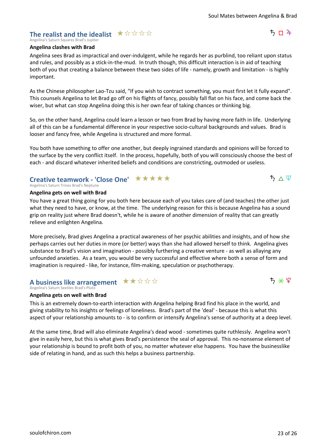# **The realist and the idealist**  $\;\star\!\stackrel{\star}{\times}\!\stackrel{\star}{\times}\!\stackrel{\star}{\times}\!\stackrel{\star}{\times}\!\stackrel{\star}{\times}$

Angelina's Saturn Squares Brad's Jupiter

#### **Angelina clashes with Brad**

Angelina sees Brad as impractical and over-indulgent, while he regards her as purblind, too reliant upon status and rules, and possibly as a stick-in-the-mud. In truth though, this difficult interaction is in aid of teaching both of you that creating a balance between these two sides of life - namely, growth and limitation - is highly important.

As the Chinese philosopher Lao-Tzu said, "If you wish to contract something, you must first let it fully expand". This counsels Angelina to let Brad go off on his flights of fancy, possibly fall flat on his face, and come back the wiser, but what can stop Angelina doing this is her own fear of taking chances or thinking big.

So, on the other hand, Angelina could learn a lesson or two from Brad by having more faith in life. Underlying all of this can be a fundamental difference in your respective socio-cultural backgrounds and values. Brad is looser and fancy free, while Angelina is structured and more formal.

You both have something to offer one another, but deeply ingrained standards and opinions will be forced to the surface by the very conflict itself. In the process, hopefully, both of you will consciously choose the best of each - and discard whatever inherited beliefs and conditions are constricting, outmoded or useless.

#### Angelina's Saturn Trines Brad's Neptune Creative teamwork - 'Close One' **★ ★ ★ ★ ★**

### **Angelina gets on well with Brad**

You have a great thing going for you both here because each of you takes care of (and teaches) the other just what they need to have, or know, at the time. The underlying reason for this is because Angelina has a sound grip on reality just where Brad doesn't, while he is aware of another dimension of reality that can greatly relieve and enlighten Angelina.

More precisely, Brad gives Angelina a practical awareness of her psychic abilities and insights, and of how she perhaps carries out her duties in more (or better) ways than she had allowed herself to think. Angelina gives substance to Brad's vision and imagination - possibly furthering a creative venture - as well as allaying any unfounded anxieties. As a team, you would be very successful and effective where both a sense of form and imagination is required - like, for instance, film-making, speculation or psychotherapy.

# A business like arrangement  $\star \star \star \star \star \star$

# Angelina's Saturn Sextiles Brad's Pluto

### **Angelina gets on well with Brad**

This is an extremely down-to-earth interaction with Angelina helping Brad find his place in the world, and giving stability to his insights or feelings of loneliness. Brad's part of the 'deal' - because this is what this aspect of your relationship amounts to - is to confirm or intensify Angelina's sense of authority at a deep level.

At the same time, Brad will also eliminate Angelina's dead wood - sometimes quite ruthlessly. Angelina won't give in easily here, but this is what gives Brad's persistence the seal of approval. This no-nonsense element of your relationship is bound to profit both of you, no matter whatever else happens. You have the businesslike side of relating in hand, and as such this helps a business partnership.





 $5D4$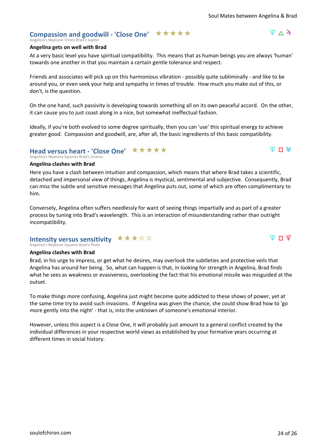# Compassion and goodwill - 'Close One' ★ ★ ★ ★ ★

Angelina's Neptune Trines Brad's Jupiter

### **Angelina gets on well with Brad**

At a very basic level you have spiritual compatibility. This means that as human beings you are always 'human' towards one another in that you maintain a certain gentle tolerance and respect.

Friends and associates will pick up on this harmonious vibration - possibly quite subliminally - and like to be around you, or even seek your help and sympathy in times of trouble. How much you make out of this, or don't, is the question.

On the one hand, such passivity is developing towards something all on its own peaceful accord. On the other, it can cause you to just coast along in a nice, but somewhat ineffectual fashion.

Ideally, if you're both evolved to some degree spiritually, then you can 'use' this spiritual energy to achieve greater good. Compassion and goodwill, are, after all, the basic ingredients of this basic compatibility.

#### Angelina's Neptune Squares Brad's Uranus Head versus heart - 'Close One' **★★★★**★

### $\Psi \nabla H$

 $\Psi \Box \Psi$ 

 $\Psi \wedge 4$ 

### **Angelina clashes with Brad**

Here you have a clash between intuition and compassion, which means that where Brad takes a scientific, detached and impersonal view of things, Angelina is mystical, sentimental and subjective. Consequently, Brad can miss the subtle and sensitive messages that Angelina puts out, some of which are often complimentary to him.

Conversely, Angelina often suffers needlessly for want of seeing things impartially and as part of a greater process by tuning into Brad's wavelength. This is an interaction of misunderstanding rather than outright incompatibility.

### **Intensity versus sensitivity ★★★☆☆**

Angelina's Neptune Squares Brad's Pluto

### **Angelina clashes with Brad**

Brad, in his urge to impress, or get what he desires, may overlook the subtleties and protective veils that Angelina has around her being. So, what can happen is that, in looking for strength in Angelina, Brad finds what he sees as weakness or evasiveness, overlooking the fact that his emotional missile was misguided at the outset.

To make things more confusing, Angelina just might become quite addicted to these shows of power, yet at the same time try to avoid such invasions. If Angelina was given the chance, she could show Brad how to 'go more gently into the night' - that is, into the unknown of someone's emotional interior.

However, unless this aspect is a Close One, it will probably just amount to a general conflict created by the individual differences in your respective world views as established by your formative years occurring at different times in social history.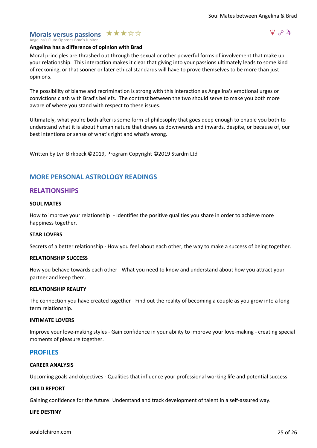# **Morals versus passions**  $\star \star \star \star \star \star$

Angelina's Pluto Opposes Brad's Jupiter

 $94$ 

#### **Angelina has a difference of opinion with Brad**

Moral principles are thrashed out through the sexual or other powerful forms of involvement that make up your relationship. This interaction makes it clear that giving into your passions ultimately leads to some kind of reckoning, or that sooner or later ethical standards will have to prove themselves to be more than just opinions.

The possibility of blame and recrimination is strong with this interaction as Angelina's emotional urges or convictions clash with Brad's beliefs. The contrast between the two should serve to make you both more aware of where you stand with respect to these issues.

Ultimately, what you're both after is some form of philosophy that goes deep enough to enable you both to understand what it is about human nature that draws us downwards and inwards, despite, or because of, our best intentions or sense of what's right and what's wrong.

Written by Lyn Birkbeck ©2019, Program Copyright ©2019 Stardm Ltd

### **MORE PERSONAL ASTROLOGY READINGS**

### **RELATIONSHIPS**

#### **SOUL MATES**

How to improve your relationship! - Identifies the positive qualities you share in order to achieve more happiness together.

### **STAR LOVERS**

Secrets of a better relationship - How you feel about each other, the way to make a success of being together.

### **RELATIONSHIP SUCCESS**

How you behave towards each other - What you need to know and understand about how you attract your partner and keep them.

#### **RELATIONSHIP REALITY**

The connection you have created together - Find out the reality of becoming a couple as you grow into a long term relationship.

#### **INTIMATE LOVERS**

Improve your love-making styles - Gain confidence in your ability to improve your love-making - creating special moments of pleasure together.

### **PROFILES**

#### **CAREER ANALYSIS**

Upcoming goals and objectives - Qualities that influence your professional working life and potential success.

### **CHILD REPORT**

Gaining confidence for the future! Understand and track development of talent in a self-assured way.

#### **LIFE DESTINY**